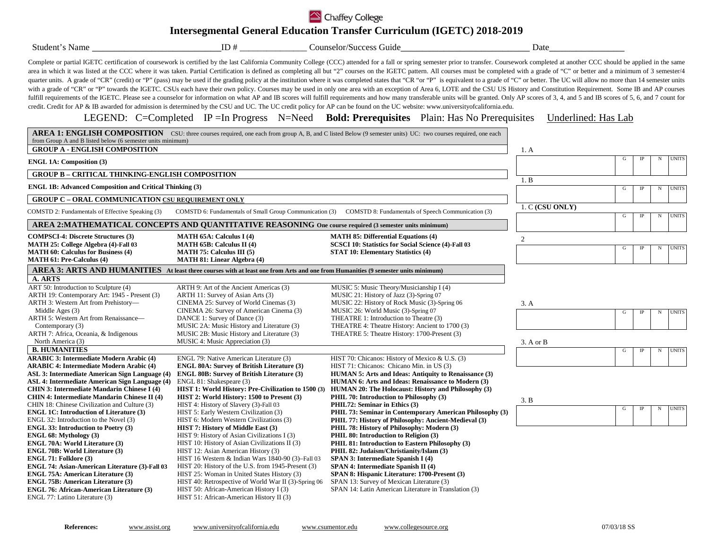## Chaffey College

## **Intersegmental General Education Transfer Curriculum (IGETC) 2018-2019**

| Student's Name                                                                                                                                                                                                                                                                                                                         | ID $#$                                                                                                                                                                                                                                                                                                                                                                                         | Counselor/Success Guide                                                                                                                                                                                                                                                                                                                                                                                                                                                                                                                                                                                                                                                                                                                                                                                                                                                                                                                                                                                                                                                                                                                                                                                                                                                                                                                                | Date                |   |             |            |              |
|----------------------------------------------------------------------------------------------------------------------------------------------------------------------------------------------------------------------------------------------------------------------------------------------------------------------------------------|------------------------------------------------------------------------------------------------------------------------------------------------------------------------------------------------------------------------------------------------------------------------------------------------------------------------------------------------------------------------------------------------|--------------------------------------------------------------------------------------------------------------------------------------------------------------------------------------------------------------------------------------------------------------------------------------------------------------------------------------------------------------------------------------------------------------------------------------------------------------------------------------------------------------------------------------------------------------------------------------------------------------------------------------------------------------------------------------------------------------------------------------------------------------------------------------------------------------------------------------------------------------------------------------------------------------------------------------------------------------------------------------------------------------------------------------------------------------------------------------------------------------------------------------------------------------------------------------------------------------------------------------------------------------------------------------------------------------------------------------------------------|---------------------|---|-------------|------------|--------------|
|                                                                                                                                                                                                                                                                                                                                        |                                                                                                                                                                                                                                                                                                                                                                                                | Complete or partial IGETC certification of coursework is certified by the last California Community College (CCC) attended for a fall or spring semester prior to transfer. Coursework completed at another CCC should be appl<br>area in which it was listed at the CCC where it was taken. Partial Certification is defined as completing all but "2" courses on the IGETC pattern. All courses must be completed with a grade of "C" or better and a minimum<br>quarter units. A grade of "CR" (credit) or "P" (pass) may be used if the grading policy at the institution where it was completed states that "CR "or "P" is equivalent to a grade of "C" or better. The UC will allow no more<br>with a grade of "CR" or "P" towards the IGETC. CSUs each have their own policy. Courses may be used in only one area with an exception of Area 6, LOTE and the CSU US History and Constitution Requirement. Some IB and AP cou<br>fulfill requirements of the IGETC. Please see a counselor for information on what AP and IB scores will fulfill requirements and how many transferable units will be granted. Only AP scores of 3, 4, and 5 and IB scores of 5<br>credit. Credit for AP & IB awarded for admission is determined by the CSU and UC. The UC credit policy for AP can be found on the UC website: www.universityofcalifornia.edu. |                     |   |             |            |              |
|                                                                                                                                                                                                                                                                                                                                        |                                                                                                                                                                                                                                                                                                                                                                                                | LEGEND: C=Completed IP = In Progress N=Need <b>Bold: Prerequisites</b> Plain: Has No Prerequisites<br>AREA 1: ENGLISH COMPOSITION CSU: three courses required, one each from group A, B, and C listed Below (9 semester units) UC: two courses required, one each                                                                                                                                                                                                                                                                                                                                                                                                                                                                                                                                                                                                                                                                                                                                                                                                                                                                                                                                                                                                                                                                                      | Underlined: Has Lab |   |             |            |              |
| from Group A and B listed below (6 semester units minimum)                                                                                                                                                                                                                                                                             |                                                                                                                                                                                                                                                                                                                                                                                                |                                                                                                                                                                                                                                                                                                                                                                                                                                                                                                                                                                                                                                                                                                                                                                                                                                                                                                                                                                                                                                                                                                                                                                                                                                                                                                                                                        |                     |   |             |            |              |
| <b>GROUP A - ENGLISH COMPOSITION</b>                                                                                                                                                                                                                                                                                                   |                                                                                                                                                                                                                                                                                                                                                                                                |                                                                                                                                                                                                                                                                                                                                                                                                                                                                                                                                                                                                                                                                                                                                                                                                                                                                                                                                                                                                                                                                                                                                                                                                                                                                                                                                                        | 1. A                |   |             |            |              |
| <b>ENGL 1A: Composition (3)</b>                                                                                                                                                                                                                                                                                                        |                                                                                                                                                                                                                                                                                                                                                                                                |                                                                                                                                                                                                                                                                                                                                                                                                                                                                                                                                                                                                                                                                                                                                                                                                                                                                                                                                                                                                                                                                                                                                                                                                                                                                                                                                                        |                     | G | $_{\rm IP}$ | N          | <b>UNITS</b> |
| <b>GROUP B - CRITICAL THINKING-ENGLISH COMPOSITION</b>                                                                                                                                                                                                                                                                                 |                                                                                                                                                                                                                                                                                                                                                                                                |                                                                                                                                                                                                                                                                                                                                                                                                                                                                                                                                                                                                                                                                                                                                                                                                                                                                                                                                                                                                                                                                                                                                                                                                                                                                                                                                                        |                     |   |             |            |              |
| <b>ENGL 1B: Advanced Composition and Critical Thinking (3)</b>                                                                                                                                                                                                                                                                         |                                                                                                                                                                                                                                                                                                                                                                                                |                                                                                                                                                                                                                                                                                                                                                                                                                                                                                                                                                                                                                                                                                                                                                                                                                                                                                                                                                                                                                                                                                                                                                                                                                                                                                                                                                        | 1. B                | G | IP          | N          | <b>UNITS</b> |
|                                                                                                                                                                                                                                                                                                                                        |                                                                                                                                                                                                                                                                                                                                                                                                |                                                                                                                                                                                                                                                                                                                                                                                                                                                                                                                                                                                                                                                                                                                                                                                                                                                                                                                                                                                                                                                                                                                                                                                                                                                                                                                                                        |                     |   |             |            |              |
| <b>GROUP C - ORAL COMMUNICATION CSU REQUIREMENT ONLY</b>                                                                                                                                                                                                                                                                               |                                                                                                                                                                                                                                                                                                                                                                                                |                                                                                                                                                                                                                                                                                                                                                                                                                                                                                                                                                                                                                                                                                                                                                                                                                                                                                                                                                                                                                                                                                                                                                                                                                                                                                                                                                        | 1. C (CSU ONLY)     |   |             |            |              |
| COMSTD 2: Fundamentals of Effective Speaking (3)                                                                                                                                                                                                                                                                                       |                                                                                                                                                                                                                                                                                                                                                                                                | COMSTD 6: Fundamentals of Small Group Communication (3) COMSTD 8: Fundamentals of Speech Communication (3)                                                                                                                                                                                                                                                                                                                                                                                                                                                                                                                                                                                                                                                                                                                                                                                                                                                                                                                                                                                                                                                                                                                                                                                                                                             |                     | G | IP          | $_{\rm N}$ | <b>UNITS</b> |
|                                                                                                                                                                                                                                                                                                                                        | AREA 2:MATHEMATICAL CONCEPTS AND QUANTITATIVE REASONING One course required (3 semester units minimum)                                                                                                                                                                                                                                                                                         |                                                                                                                                                                                                                                                                                                                                                                                                                                                                                                                                                                                                                                                                                                                                                                                                                                                                                                                                                                                                                                                                                                                                                                                                                                                                                                                                                        |                     |   |             |            |              |
| <b>COMPSCI-4: Discrete Structures (3)</b><br>MATH 25: College Algebra (4)-Fall 03<br><b>MATH 60: Calculus for Business (4)</b><br><b>MATH 61: Pre-Calculus (4)</b>                                                                                                                                                                     | <b>MATH 65A: Calculus I (4)</b><br><b>MATH 65B: Calculus II (4)</b><br>MATH 75: Calculus III $(5)$<br><b>MATH 81: Linear Algebra (4)</b>                                                                                                                                                                                                                                                       | <b>MATH 85: Differential Equations (4)</b><br>SCSCI 10: Statistics for Social Science (4)-Fall 03<br><b>STAT 10: Elementary Statistics (4)</b>                                                                                                                                                                                                                                                                                                                                                                                                                                                                                                                                                                                                                                                                                                                                                                                                                                                                                                                                                                                                                                                                                                                                                                                                         | $\mathfrak{2}$      | G | IP          | N          | <b>UNITS</b> |
|                                                                                                                                                                                                                                                                                                                                        | AREA 3: ARTS AND HUMANITIES At least three courses with at least one from Arts and one from Humanities (9 semester units minimum)                                                                                                                                                                                                                                                              |                                                                                                                                                                                                                                                                                                                                                                                                                                                                                                                                                                                                                                                                                                                                                                                                                                                                                                                                                                                                                                                                                                                                                                                                                                                                                                                                                        |                     |   |             |            |              |
| A. ARTS                                                                                                                                                                                                                                                                                                                                |                                                                                                                                                                                                                                                                                                                                                                                                |                                                                                                                                                                                                                                                                                                                                                                                                                                                                                                                                                                                                                                                                                                                                                                                                                                                                                                                                                                                                                                                                                                                                                                                                                                                                                                                                                        |                     |   |             |            |              |
| ART 50: Introduction to Sculpture (4)<br>ARTH 19: Contemporary Art: 1945 - Present (3)<br>ARTH 3: Western Art from Prehistory-<br>Middle Ages (3)<br>ARTH 5: Western Art from Renaissance-<br>Contemporary (3)                                                                                                                         | ARTH 9: Art of the Ancient Americas (3)<br>ARTH 11: Survey of Asian Arts (3)<br>CINEMA 25: Survey of World Cinemas (3)<br>CINEMA 26: Survey of American Cinema (3)<br>DANCE 1: Survey of Dance (3)<br>MUSIC 2A: Music History and Literature (3)                                                                                                                                               | MUSIC 5: Music Theory/Musicianship I (4)<br>MUSIC 21: History of Jazz (3)-Spring 07<br>MUSIC 22: History of Rock Music (3)-Spring 06<br>MUSIC 26: World Music (3)-Spring 07<br>THEATRE 1: Introduction to Theatre (3)<br>THEATRE 4: Theatre History: Ancient to 1700 (3)                                                                                                                                                                                                                                                                                                                                                                                                                                                                                                                                                                                                                                                                                                                                                                                                                                                                                                                                                                                                                                                                               | 3. A                | G | <b>IP</b>   | N          | <b>UNITS</b> |
| ARTH 7: Africa, Oceania, & Indigenous                                                                                                                                                                                                                                                                                                  | MUSIC 2B: Music History and Literature (3)                                                                                                                                                                                                                                                                                                                                                     | THEATRE 5: Theatre History: 1700-Present (3)                                                                                                                                                                                                                                                                                                                                                                                                                                                                                                                                                                                                                                                                                                                                                                                                                                                                                                                                                                                                                                                                                                                                                                                                                                                                                                           |                     |   |             |            |              |
| North America (3)<br><b>B. HUMANITIES</b>                                                                                                                                                                                                                                                                                              | MUSIC 4: Music Appreciation (3)                                                                                                                                                                                                                                                                                                                                                                |                                                                                                                                                                                                                                                                                                                                                                                                                                                                                                                                                                                                                                                                                                                                                                                                                                                                                                                                                                                                                                                                                                                                                                                                                                                                                                                                                        | $3. A$ or $B$       |   |             |            |              |
| <b>ARABIC 3: Intermediate Modern Arabic (4)</b><br><b>ARABIC 4: Intermediate Modern Arabic (4)</b><br><b>ASL 3: Intermediate American Sign Language (4)</b>                                                                                                                                                                            | ENGL 79: Native American Literature (3)<br><b>ENGL 80A: Survey of British Literature (3)</b><br><b>ENGL 80B: Survey of British Literature (3)</b>                                                                                                                                                                                                                                              | HIST 70: Chicanos: History of Mexico & U.S. (3)<br>HIST 71: Chicanos: Chicano Min. in US (3)<br><b>HUMAN 5: Arts and Ideas: Antiquity to Renaissance (3)</b>                                                                                                                                                                                                                                                                                                                                                                                                                                                                                                                                                                                                                                                                                                                                                                                                                                                                                                                                                                                                                                                                                                                                                                                           |                     | G | $\rm IP$    | $_{\rm N}$ | <b>UNITS</b> |
| <b>ASL 4: Intermediate American Sign Language (4)</b><br><b>CHIN 3: Intermediate Mandarin Chinese I (4)</b><br>CHIN 4: Intermediate Mandarin Chinese II (4)<br>CHIN 18: Chinese Civilization and Culture (3)                                                                                                                           | ENGL 81: Shakespeare (3)<br>HIST 1: World History: Pre-Civilization to 1500 (3)<br>HIST 2: World History: 1500 to Present (3)<br>HIST 4: History of Slavery (3)-Fall 03                                                                                                                                                                                                                        | HUMAN 6: Arts and Ideas: Renaissance to Modern (3)<br>HUMAN 20: The Holocaust: History and Philosophy (3)<br>PHIL 70: Introduction to Philosophy (3)<br>PHIL72: Seminar in Ethics (3)                                                                                                                                                                                                                                                                                                                                                                                                                                                                                                                                                                                                                                                                                                                                                                                                                                                                                                                                                                                                                                                                                                                                                                  | 3. B                |   |             |            |              |
| <b>ENGL 1C: Introduction of Literature (3)</b><br>ENGL 32: Introduction to the Novel (3)<br><b>ENGL 33: Introduction to Poetry (3)</b><br>ENGL 68: Mythology (3)                                                                                                                                                                       | HIST 5: Early Western Civilization (3)<br>HIST 6: Modern Western Civilizations (3)<br>HIST 7: History of Middle East (3)<br>HIST 9: History of Asian Civilizations I (3)                                                                                                                                                                                                                       | PHIL 73: Seminar in Contemporary American Philosophy (3)<br>PHIL 77: History of Philosophy: Ancient-Medieval (3)<br>PHIL 78: History of Philosophy: Modern (3)<br>PHIL 80: Introduction to Religion (3)                                                                                                                                                                                                                                                                                                                                                                                                                                                                                                                                                                                                                                                                                                                                                                                                                                                                                                                                                                                                                                                                                                                                                |                     | G | $_{\rm IP}$ | N          | <b>UNITS</b> |
| <b>ENGL 70A: World Literature (3)</b><br><b>ENGL 70B: World Literature (3)</b><br>ENGL 71: Folklore (3)<br>ENGL 74: Asian-American Literature (3)-Fall 03<br><b>ENGL 75A: American Literature (3)</b><br><b>ENGL 75B: American Literature (3)</b><br><b>ENGL 76: African-American Literature (3)</b><br>ENGL 77: Latino Literature (3) | HIST 10: History of Asian Civilizations II (3)<br>HIST 12: Asian American History (3)<br>HIST 16 Western & Indian Wars 1840-90 (3)-Fall 03<br>HIST 20: History of the U.S. from 1945-Present (3)<br>HIST 25: Woman in United States History (3)<br>HIST 40: Retrospective of World War II (3)-Spring 06<br>HIST 50: African-American History I (3)<br>HIST 51: African-American History II (3) | PHIL 81: Introduction to Eastern Philosophy (3)<br>PHIL 82: Judaism/Christianity/Islam (3)<br>SPAN 3: Intermediate Spanish I (4)<br>SPAN 4: Intermediate Spanish II (4)<br>SPAN 8: Hispanic Literature: 1700-Present (3)<br>SPAN 13: Survey of Mexican Literature (3)<br>SPAN 14: Latin American Literature in Translation (3)                                                                                                                                                                                                                                                                                                                                                                                                                                                                                                                                                                                                                                                                                                                                                                                                                                                                                                                                                                                                                         |                     |   |             |            |              |